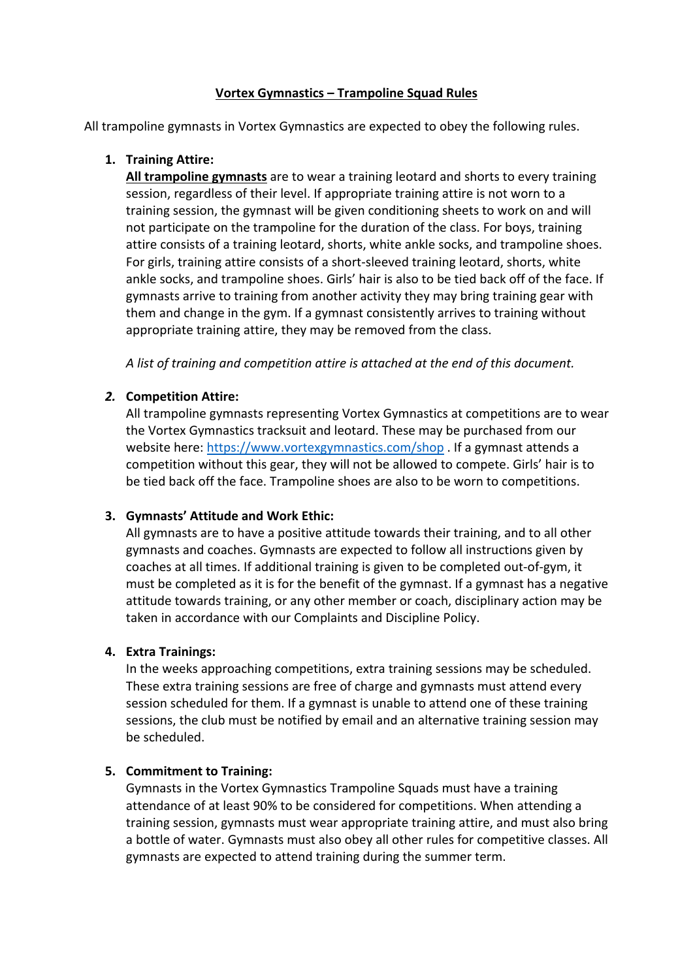#### **Vortex Gymnastics – Trampoline Squad Rules**

All trampoline gymnasts in Vortex Gymnastics are expected to obey the following rules.

### **1. Training Attire:**

**All trampoline gymnasts** are to wear a training leotard and shorts to every training session, regardless of their level. If appropriate training attire is not worn to a training session, the gymnast will be given conditioning sheets to work on and will not participate on the trampoline for the duration of the class. For boys, training attire consists of a training leotard, shorts, white ankle socks, and trampoline shoes. For girls, training attire consists of a short-sleeved training leotard, shorts, white ankle socks, and trampoline shoes. Girls' hair is also to be tied back off of the face. If gymnasts arrive to training from another activity they may bring training gear with them and change in the gym. If a gymnast consistently arrives to training without appropriate training attire, they may be removed from the class.

*A list of training and competition attire is attached at the end of this document.*

#### *2.* **Competition Attire:**

All trampoline gymnasts representing Vortex Gymnastics at competitions are to wear the Vortex Gymnastics tracksuit and leotard. These may be purchased from our website here: https://www.vortexgymnastics.com/shop . If a gymnast attends a competition without this gear, they will not be allowed to compete. Girls' hair is to be tied back off the face. Trampoline shoes are also to be worn to competitions.

## **3. Gymnasts' Attitude and Work Ethic:**

All gymnasts are to have a positive attitude towards their training, and to all other gymnasts and coaches. Gymnasts are expected to follow all instructions given by coaches at all times. If additional training is given to be completed out-of-gym, it must be completed as it is for the benefit of the gymnast. If a gymnast has a negative attitude towards training, or any other member or coach, disciplinary action may be taken in accordance with our Complaints and Discipline Policy.

## **4. Extra Trainings:**

In the weeks approaching competitions, extra training sessions may be scheduled. These extra training sessions are free of charge and gymnasts must attend every session scheduled for them. If a gymnast is unable to attend one of these training sessions, the club must be notified by email and an alternative training session may be scheduled.

## **5. Commitment to Training:**

Gymnasts in the Vortex Gymnastics Trampoline Squads must have a training attendance of at least 90% to be considered for competitions. When attending a training session, gymnasts must wear appropriate training attire, and must also bring a bottle of water. Gymnasts must also obey all other rules for competitive classes. All gymnasts are expected to attend training during the summer term.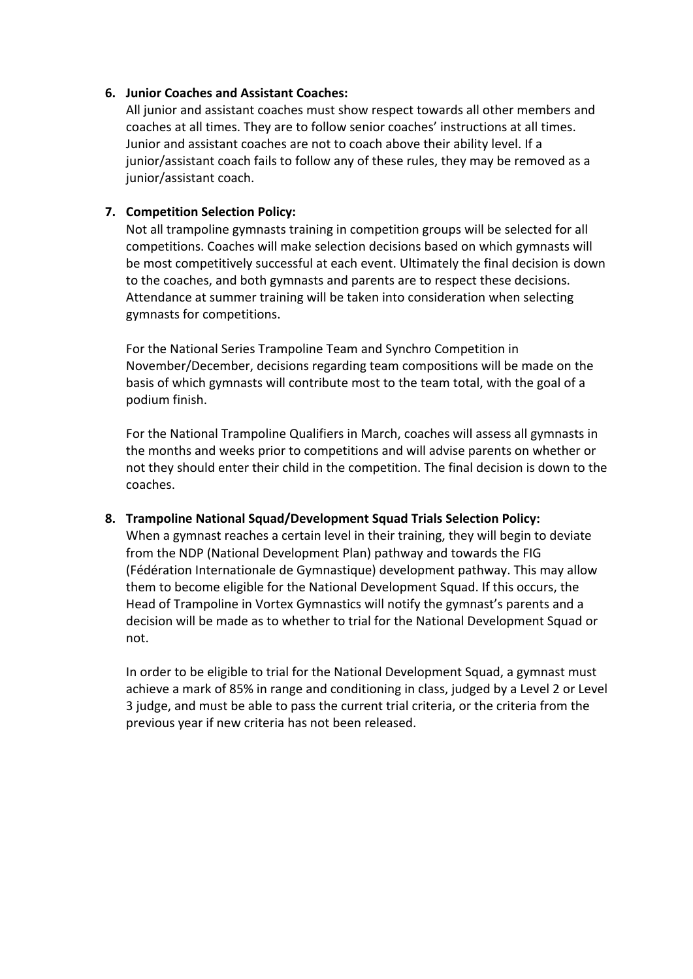#### **6. Junior Coaches and Assistant Coaches:**

All junior and assistant coaches must show respect towards all other members and coaches at all times. They are to follow senior coaches' instructions at all times. Junior and assistant coaches are not to coach above their ability level. If a junior/assistant coach fails to follow any of these rules, they may be removed as a junior/assistant coach.

### **7. Competition Selection Policy:**

Not all trampoline gymnasts training in competition groups will be selected for all competitions. Coaches will make selection decisions based on which gymnasts will be most competitively successful at each event. Ultimately the final decision is down to the coaches, and both gymnasts and parents are to respect these decisions. Attendance at summer training will be taken into consideration when selecting gymnasts for competitions.

For the National Series Trampoline Team and Synchro Competition in November/December, decisions regarding team compositions will be made on the basis of which gymnasts will contribute most to the team total, with the goal of a podium finish.

For the National Trampoline Qualifiers in March, coaches will assess all gymnasts in the months and weeks prior to competitions and will advise parents on whether or not they should enter their child in the competition. The final decision is down to the coaches.

#### **8. Trampoline National Squad/Development Squad Trials Selection Policy:**

When a gymnast reaches a certain level in their training, they will begin to deviate from the NDP (National Development Plan) pathway and towards the FIG (Fédération Internationale de Gymnastique) development pathway. This may allow them to become eligible for the National Development Squad. If this occurs, the Head of Trampoline in Vortex Gymnastics will notify the gymnast's parents and a decision will be made as to whether to trial for the National Development Squad or not.

In order to be eligible to trial for the National Development Squad, a gymnast must achieve a mark of 85% in range and conditioning in class, judged by a Level 2 or Level 3 judge, and must be able to pass the current trial criteria, or the criteria from the previous year if new criteria has not been released.